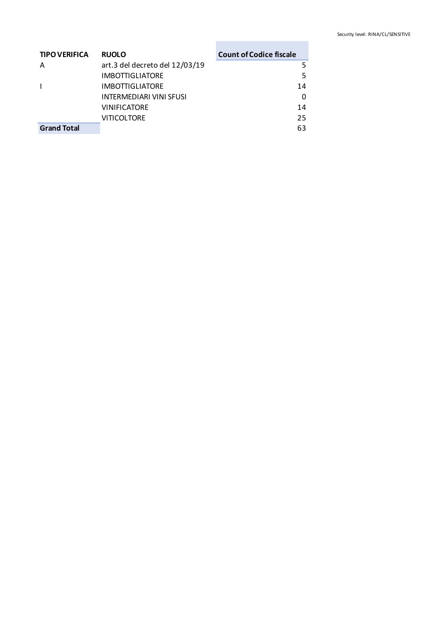| <b>TIPO VERIFICA</b> | <b>RUOLO</b>                   | <b>Count of Codice fiscale</b> |
|----------------------|--------------------------------|--------------------------------|
| Λ                    | art.3 del decreto del 12/03/19 |                                |
|                      | <b>IMBOTTIGLIATORE</b>         |                                |
|                      | <b>IMBOTTIGLIATORE</b>         | 14                             |
|                      | <b>INTERMEDIARI VINI SFUSI</b> | O                              |
|                      | <b>VINIFICATORE</b>            | 14                             |
|                      | <b>VITICOLTORE</b>             | 25                             |
| <b>Grand Total</b>   |                                | 63                             |

**Contract Contract Contract**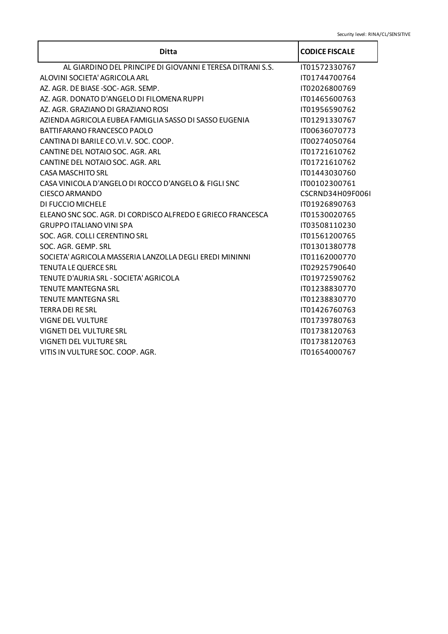| <b>Ditta</b>                                                | <b>CODICE FISCALE</b> |
|-------------------------------------------------------------|-----------------------|
| AL GIARDINO DEL PRINCIPE DI GIOVANNI E TERESA DITRANI S.S.  | IT01572330767         |
| ALOVINI SOCIETA' AGRICOLA ARL                               | IT01744700764         |
| AZ. AGR. DE BIASE -SOC-AGR. SEMP.                           | IT02026800769         |
| AZ. AGR. DONATO D'ANGELO DI FILOMENA RUPPI                  | IT01465600763         |
| AZ. AGR. GRAZIANO DI GRAZIANO ROSI                          | IT01956590762         |
| AZIENDA AGRICOLA EUBEA FAMIGLIA SASSO DI SASSO EUGENIA      | IT01291330767         |
| <b>BATTIFARANO FRANCESCO PAOLO</b>                          | IT00636070773         |
| CANTINA DI BARILE CO.VI.V. SOC. COOP.                       | IT00274050764         |
| CANTINE DEL NOTAIO SOC. AGR. ARL                            | IT01721610762         |
| CANTINE DEL NOTAIO SOC. AGR. ARL                            | IT01721610762         |
| CASA MASCHITO SRL                                           | IT01443030760         |
| CASA VINICOLA D'ANGELO DI ROCCO D'ANGELO & FIGLI SNC        | IT00102300761         |
| CIESCO ARMANDO                                              | CSCRND34H09F006I      |
| <b>DI FUCCIO MICHELE</b>                                    | IT01926890763         |
| ELEANO SNC SOC. AGR. DI CORDISCO ALFREDO E GRIECO FRANCESCA | IT01530020765         |
| <b>GRUPPO ITALIANO VINI SPA</b>                             | IT03508110230         |
| SOC. AGR. COLLI CERENTINO SRL                               | IT01561200765         |
| SOC. AGR. GEMP. SRL                                         | IT01301380778         |
| SOCIETA' AGRICOLA MASSERIA LANZOLLA DEGLI EREDI MININNI     | IT01162000770         |
| <b>TENUTA LE QUERCE SRL</b>                                 | IT02925790640         |
| TENUTE D'AURIA SRL - SOCIETA' AGRICOLA                      | IT01972590762         |
| <b>TENUTE MANTEGNA SRL</b>                                  | IT01238830770         |
| <b>TENUTE MANTEGNA SRL</b>                                  | IT01238830770         |
| <b>TERRA DEI RE SRL</b>                                     | IT01426760763         |
| <b>VIGNE DEL VULTURE</b>                                    | IT01739780763         |
| VIGNETI DEL VULTURE SRL                                     | IT01738120763         |
| <b>VIGNETI DEL VULTURE SRL</b>                              | IT01738120763         |
| VITIS IN VULTURE SOC. COOP. AGR.                            | IT01654000767         |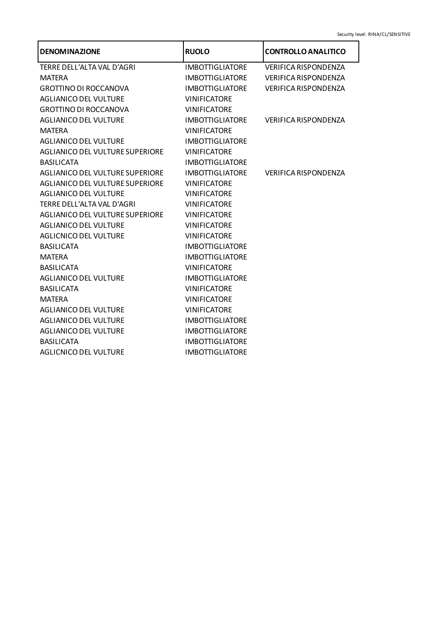| <b>DENOMINAZIONE</b>                   | <b>RUOLO</b>           | <b>CONTROLLO ANALITICO</b>  |
|----------------------------------------|------------------------|-----------------------------|
| TERRE DELL'ALTA VAL D'AGRI             | <b>IMBOTTIGLIATORE</b> | <b>VERIFICA RISPONDENZA</b> |
| <b>MATERA</b>                          | <b>IMBOTTIGLIATORE</b> | <b>VERIFICA RISPONDENZA</b> |
| <b>GROTTINO DI ROCCANOVA</b>           | <b>IMBOTTIGLIATORE</b> | <b>VERIFICA RISPONDENZA</b> |
| <b>AGLIANICO DEL VULTURE</b>           | <b>VINIFICATORE</b>    |                             |
| <b>GROTTINO DI ROCCANOVA</b>           | <b>VINIFICATORE</b>    |                             |
| <b>AGLIANICO DEL VULTURE</b>           | <b>IMBOTTIGLIATORE</b> | <b>VERIFICA RISPONDENZA</b> |
| <b>MATERA</b>                          | <b>VINIFICATORE</b>    |                             |
| <b>AGLIANICO DEL VULTURE</b>           | <b>IMBOTTIGLIATORE</b> |                             |
| <b>AGLIANICO DEL VULTURE SUPERIORE</b> | <b>VINIFICATORE</b>    |                             |
| <b>BASILICATA</b>                      | <b>IMBOTTIGLIATORE</b> |                             |
| AGLIANICO DEL VULTURE SUPERIORE        | <b>IMBOTTIGLIATORE</b> | <b>VERIFICA RISPONDENZA</b> |
| AGLIANICO DEL VULTURE SUPERIORE        | <b>VINIFICATORE</b>    |                             |
| <b>AGLIANICO DEL VULTURE</b>           | <b>VINIFICATORE</b>    |                             |
| TERRE DELL'ALTA VAL D'AGRI             | <b>VINIFICATORE</b>    |                             |
| AGLIANICO DEL VULTURE SUPERIORE        | <b>VINIFICATORE</b>    |                             |
| <b>AGLIANICO DEL VULTURE</b>           | <b>VINIFICATORE</b>    |                             |
| <b>AGLICNICO DEL VULTURE</b>           | <b>VINIFICATORE</b>    |                             |
| <b>BASILICATA</b>                      | <b>IMBOTTIGLIATORE</b> |                             |
| <b>MATERA</b>                          | <b>IMBOTTIGLIATORE</b> |                             |
| <b>BASILICATA</b>                      | <b>VINIFICATORE</b>    |                             |
| <b>AGLIANICO DEL VULTURE</b>           | <b>IMBOTTIGLIATORE</b> |                             |
| <b>BASILICATA</b>                      | <b>VINIFICATORE</b>    |                             |
| <b>MATERA</b>                          | <b>VINIFICATORE</b>    |                             |
| <b>AGLIANICO DEL VULTURE</b>           | <b>VINIFICATORE</b>    |                             |
| <b>AGLIANICO DEL VULTURE</b>           | <b>IMBOTTIGLIATORE</b> |                             |
| <b>AGLIANICO DEL VULTURE</b>           | <b>IMBOTTIGLIATORE</b> |                             |
| <b>BASILICATA</b>                      | <b>IMBOTTIGLIATORE</b> |                             |
| <b>AGLICNICO DEL VULTURE</b>           | <b>IMBOTTIGLIATORE</b> |                             |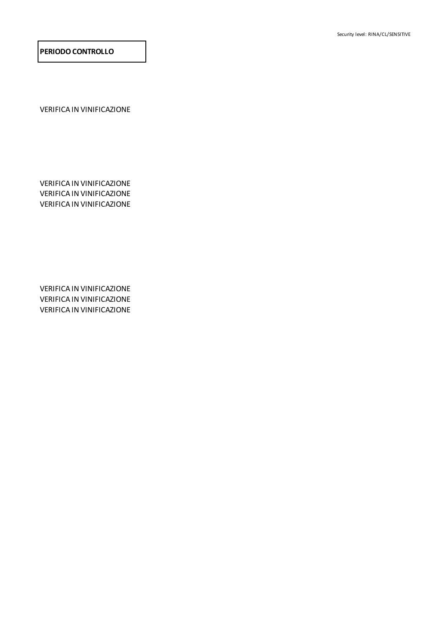Security level: RINA/CL/SENSITIVE#

**PERIODO CONTROLLO**

VERIFICA IN VINIFICAZIONE

VERIFICA IN VINIFICAZIONE VERIFICA IN VINIFICAZIONE VERIFICA IN VINIFICAZIONE

VERIFICA IN VINIFICAZIONE VERIFICA IN VINIFICAZIONE VERIFICA IN VINIFICAZIONE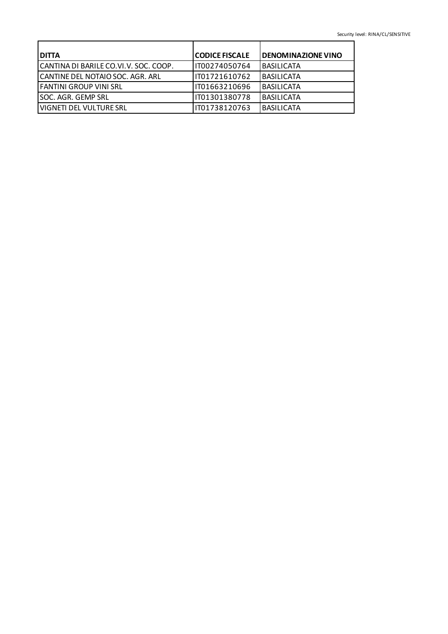| <b>I DITTA</b>                        | <b>CODICE FISCALE</b> | <b>DENOMINAZIONE VINO</b> |
|---------------------------------------|-----------------------|---------------------------|
| CANTINA DI BARILE CO.VI.V. SOC. COOP. | IT00274050764         | <b>BASILICATA</b>         |
| CANTINE DEL NOTAIO SOC. AGR. ARL      | IT01721610762         | <b>BASILICATA</b>         |
| lFANTINI GROUP VINI SRL               | 1T01663210696         | <b>BASILICATA</b>         |
| lSOC. AGR. GEMP SRL                   | IT01301380778         | <b>BASILICATA</b>         |
| l VIGNETI DEL VULTURE SRL             | IT01738120763         | <b>BASILICATA</b>         |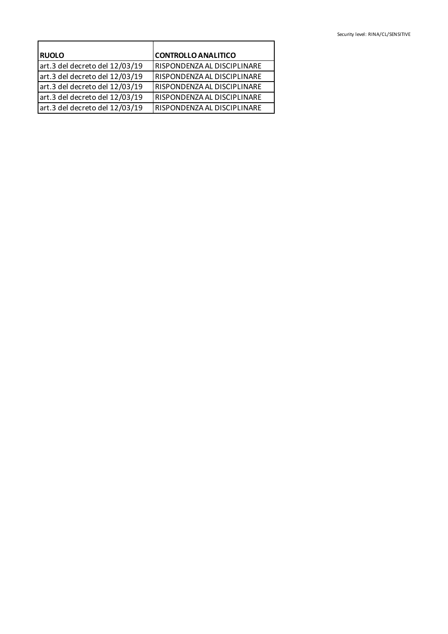| <b>RUOLO</b>                   | <b>CONTROLLO ANALITICO</b>  |
|--------------------------------|-----------------------------|
| art.3 del decreto del 12/03/19 | RISPONDENZA AL DISCIPLINARE |
| art.3 del decreto del 12/03/19 | RISPONDENZA AL DISCIPLINARE |
| art.3 del decreto del 12/03/19 | RISPONDENZA AL DISCIPLINARE |
| art.3 del decreto del 12/03/19 | RISPONDENZA AL DISCIPLINARE |
| art.3 del decreto del 12/03/19 | RISPONDENZA AL DISCIPLINARE |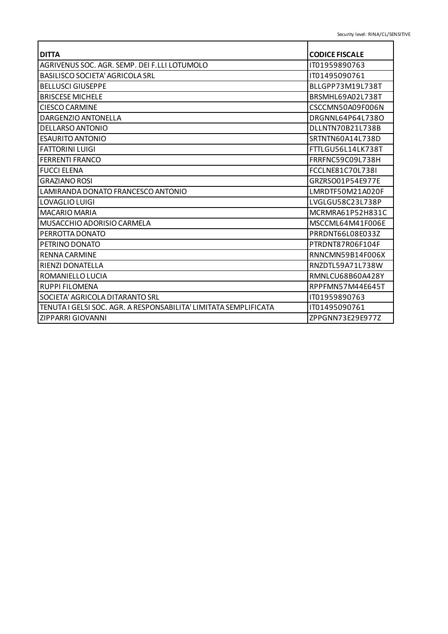| <b>DITTA</b>                                                     | <b>CODICE FISCALE</b>   |
|------------------------------------------------------------------|-------------------------|
| AGRIVENUS SOC. AGR. SEMP. DEI F.LLI LOTUMOLO                     | IT01959890763           |
| <b>BASILISCO SOCIETA' AGRICOLA SRL</b>                           | IT01495090761           |
| <b>BELLUSCI GIUSEPPE</b>                                         | BLLGPP73M19L738T        |
| <b>BRISCESE MICHELE</b>                                          | BRSMHL69A02L738T        |
| <b>CIESCO CARMINE</b>                                            | CSCCMN50A09F006N        |
| DARGENZIO ANTONELLA                                              | DRGNNL64P64L738O        |
| <b>DELLARSO ANTONIO</b>                                          | DLLNTN70B21L738B        |
| <b>ESAURITO ANTONIO</b>                                          | SRTNTN60A14L738D        |
| <b>FATTORINI LUIGI</b>                                           | FTTLGU56L14LK738T       |
| <b>FERRENTI FRANCO</b>                                           | FRRFNC59C09L738H        |
| <b>FUCCI ELENA</b>                                               | <b>FCCLNE81C70L738I</b> |
| <b>GRAZIANO ROSI</b>                                             | GRZRSO01P54E977E        |
| LAMIRANDA DONATO FRANCESCO ANTONIO                               | LMRDTF50M21A020F        |
| LOVAGLIO LUIGI                                                   | LVGLGU58C23L738P        |
| <b>MACARIO MARIA</b>                                             | MCRMRA61P52H831C        |
| MUSACCHIO ADORISIO CARMELA                                       | MSCCML64M41F006E        |
| PERROTTA DONATO                                                  | PRRDNT66L08E033Z        |
| PETRINO DONATO                                                   | PTRDNT87R06F104F        |
| <b>RENNA CARMINE</b>                                             | RNNCMN59B14F006X        |
| <b>RIENZI DONATELLA</b>                                          | RNZDTL59A71L738W        |
| ROMANIELLO LUCIA                                                 | RMNLCU68B60A428Y        |
| <b>RUPPI FILOMENA</b>                                            | RPPFMN57M44F645T        |
| SOCIETA' AGRICOLA DITARANTO SRL                                  | IT01959890763           |
| TENUTA I GELSI SOC. AGR. A RESPONSABILITA' LIMITATA SEMPLIFICATA | IT01495090761           |
| ZIPPARRI GIOVANNI                                                | ZPPGNN73E29E977Z        |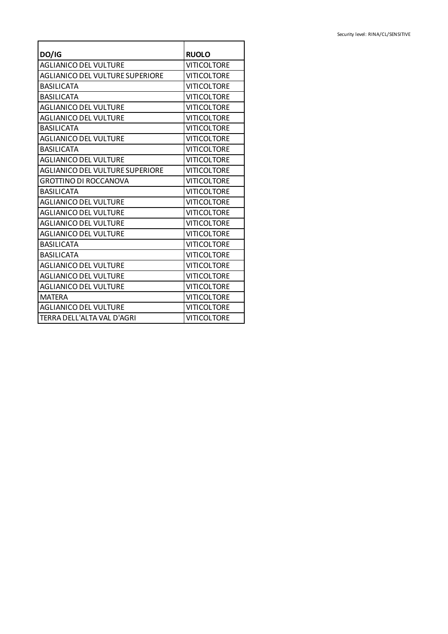| DO/IG                                                        | <b>RUOLO</b>       |
|--------------------------------------------------------------|--------------------|
| <b>AGLIANICO DEL VULTURE</b>                                 | <b>VITICOLTORE</b> |
| <b>AGLIANICO DEL VULTURE SUPERIORE</b>                       | <b>VITICOLTORE</b> |
| <b>BASILICATA</b>                                            | <b>VITICOLTORE</b> |
| <b>BASILICATA</b>                                            | <b>VITICOLTORE</b> |
| <b>AGLIANICO DEL VULTURE</b>                                 | <b>VITICOLTORE</b> |
| <b>AGLIANICO DEL VULTURE</b>                                 | <b>VITICOLTORE</b> |
| <b>BASILICATA</b>                                            | <b>VITICOLTORE</b> |
| <b>AGLIANICO DEL VULTURE</b>                                 | <b>VITICOLTORE</b> |
| <b>BASILICATA</b>                                            | <b>VITICOLTORE</b> |
| <b>AGLIANICO DEL VULTURE</b>                                 | <b>VITICOLTORE</b> |
| <b>AGLIANICO DEL VULTURE SUPERIORE</b><br><b>VITICOLTORE</b> |                    |
| <b>GROTTINO DI ROCCANOVA</b>                                 | <b>VITICOLTORE</b> |
| <b>BASILICATA</b>                                            | <b>VITICOLTORE</b> |
| <b>VITICOLTORE</b><br><b>AGLIANICO DEL VULTURE</b>           |                    |
| <b>AGLIANICO DEL VULTURE</b>                                 | <b>VITICOLTORE</b> |
| <b>AGLIANICO DEL VULTURE</b><br><b>VITICOLTORE</b>           |                    |
| <b>VITICOLTORE</b><br><b>AGLIANICO DEL VULTURE</b>           |                    |
| <b>VITICOLTORE</b><br><b>BASILICATA</b>                      |                    |
| <b>VITICOLTORE</b><br><b>BASILICATA</b>                      |                    |
| <b>AGLIANICO DEL VULTURE</b><br><b>VITICOLTORE</b>           |                    |
| <b>AGLIANICO DEL VULTURE</b><br><b>VITICOLTORE</b>           |                    |
| <b>VITICOLTORE</b><br><b>AGLIANICO DEL VULTURE</b>           |                    |
| <b>MATERA</b>                                                | <b>VITICOLTORE</b> |
| <b>VITICOLTORE</b><br><b>AGLIANICO DEL VULTURE</b>           |                    |
| TERRA DELL'ALTA VAL D'AGRI                                   | <b>VITICOLTORE</b> |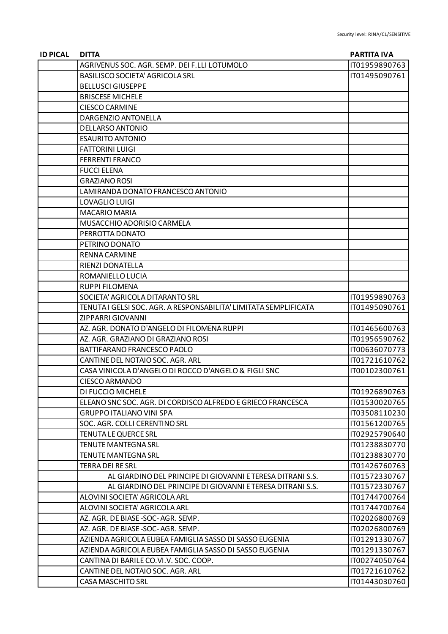| <b>ID PICAL</b> | <b>DITTA</b>                                                     | <b>PARTITA IVA</b> |
|-----------------|------------------------------------------------------------------|--------------------|
|                 | AGRIVENUS SOC. AGR. SEMP. DEI F.LLI LOTUMOLO                     | IT01959890763      |
|                 | <b>BASILISCO SOCIETA' AGRICOLA SRL</b>                           | IT01495090761      |
|                 | <b>BELLUSCI GIUSEPPE</b>                                         |                    |
|                 | <b>BRISCESE MICHELE</b>                                          |                    |
|                 | <b>CIESCO CARMINE</b>                                            |                    |
|                 | DARGENZIO ANTONELLA                                              |                    |
|                 | <b>DELLARSO ANTONIO</b>                                          |                    |
|                 | <b>ESAURITO ANTONIO</b>                                          |                    |
|                 | <b>FATTORINI LUIGI</b>                                           |                    |
|                 | <b>FERRENTI FRANCO</b>                                           |                    |
|                 | <b>FUCCI ELENA</b>                                               |                    |
|                 | <b>GRAZIANO ROSI</b>                                             |                    |
|                 | LAMIRANDA DONATO FRANCESCO ANTONIO                               |                    |
|                 | LOVAGLIO LUIGI                                                   |                    |
|                 | <b>MACARIO MARIA</b>                                             |                    |
|                 | MUSACCHIO ADORISIO CARMELA                                       |                    |
|                 | PERROTTA DONATO                                                  |                    |
|                 | PETRINO DONATO                                                   |                    |
|                 | <b>RENNA CARMINE</b>                                             |                    |
|                 | RIENZI DONATELLA                                                 |                    |
|                 | ROMANIELLO LUCIA                                                 |                    |
|                 | <b>RUPPI FILOMENA</b>                                            |                    |
|                 | SOCIETA' AGRICOLA DITARANTO SRL                                  | IT01959890763      |
|                 | TENUTA I GELSI SOC. AGR. A RESPONSABILITA' LIMITATA SEMPLIFICATA | IT01495090761      |
|                 | ZIPPARRI GIOVANNI                                                |                    |
|                 | AZ. AGR. DONATO D'ANGELO DI FILOMENA RUPPI                       | IT01465600763      |
|                 | AZ. AGR. GRAZIANO DI GRAZIANO ROSI                               | IT01956590762      |
|                 | BATTIFARANO FRANCESCO PAOLO                                      | IT00636070773      |
|                 | CANTINE DEL NOTAIO SOC. AGR. ARL                                 | IT01721610762      |
|                 | CASA VINICOLA D'ANGELO DI ROCCO D'ANGELO & FIGLI SNC             | IT00102300761      |
|                 | <b>CIESCO ARMANDO</b>                                            |                    |
|                 | DI FUCCIO MICHELE                                                | IT01926890763      |
|                 | ELEANO SNC SOC. AGR. DI CORDISCO ALFREDO E GRIECO FRANCESCA      | IT01530020765      |
|                 | <b>GRUPPO ITALIANO VINI SPA</b>                                  | IT03508110230      |
|                 | SOC. AGR. COLLI CERENTINO SRL                                    | IT01561200765      |
|                 | <b>TENUTA LE QUERCE SRL</b>                                      | IT02925790640      |
|                 | <b>TENUTE MANTEGNA SRL</b>                                       | IT01238830770      |
|                 | <b>TENUTE MANTEGNA SRL</b>                                       | IT01238830770      |
|                 | <b>TERRA DEI RE SRL</b>                                          | IT01426760763      |
|                 | AL GIARDINO DEL PRINCIPE DI GIOVANNI E TERESA DITRANI S.S.       | IT01572330767      |
|                 | AL GIARDINO DEL PRINCIPE DI GIOVANNI E TERESA DITRANI S.S.       | IT01572330767      |
|                 | ALOVINI SOCIETA' AGRICOLA ARL                                    | IT01744700764      |
|                 | ALOVINI SOCIETA' AGRICOLA ARL                                    | IT01744700764      |
|                 | AZ. AGR. DE BIASE -SOC-AGR. SEMP.                                | IT02026800769      |
|                 | AZ. AGR. DE BIASE-SOC-AGR. SEMP.                                 | IT02026800769      |
|                 | AZIENDA AGRICOLA EUBEA FAMIGLIA SASSO DI SASSO EUGENIA           | IT01291330767      |
|                 | AZIENDA AGRICOLA EUBEA FAMIGLIA SASSO DI SASSO EUGENIA           | IT01291330767      |
|                 | CANTINA DI BARILE CO.VI.V. SOC. COOP.                            | IT00274050764      |
|                 | CANTINE DEL NOTAIO SOC. AGR. ARL                                 | IT01721610762      |
|                 | <b>CASA MASCHITO SRL</b>                                         | IT01443030760      |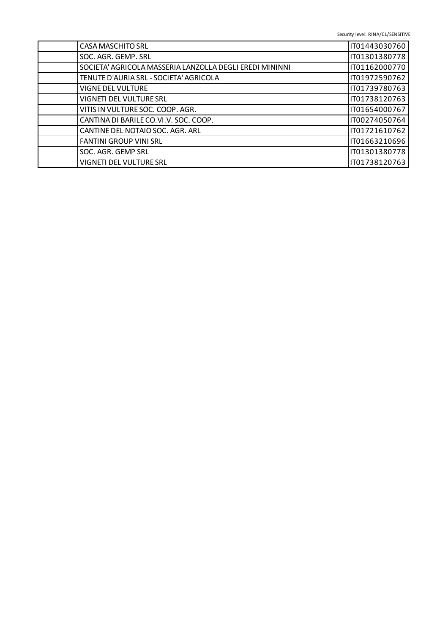Security level: RINA/CL/SENSITIVE#

| <b>CASA MASCHITO SRL</b>                                | IT01443030760 |
|---------------------------------------------------------|---------------|
| SOC. AGR. GEMP. SRL                                     | IT01301380778 |
| SOCIETA' AGRICOLA MASSERIA LANZOLLA DEGLI EREDI MININNI | IT01162000770 |
| TENUTE D'AURIA SRL - SOCIETA' AGRICOLA                  | IT01972590762 |
| <b>VIGNE DEL VULTURE</b>                                | IT01739780763 |
| VIGNETI DEL VULTURE SRL                                 | IT01738120763 |
| VITIS IN VULTURE SOC. COOP. AGR.                        | IT01654000767 |
| CANTINA DI BARILE CO.VI.V. SOC. COOP.                   | IT00274050764 |
| CANTINE DEL NOTAIO SOC. AGR. ARL                        | IT01721610762 |
| <b>FANTINI GROUP VINI SRL</b>                           | IT01663210696 |
| SOC. AGR. GEMP SRL                                      | IT01301380778 |
| VIGNETI DEL VULTURE SRL                                 | IT01738120763 |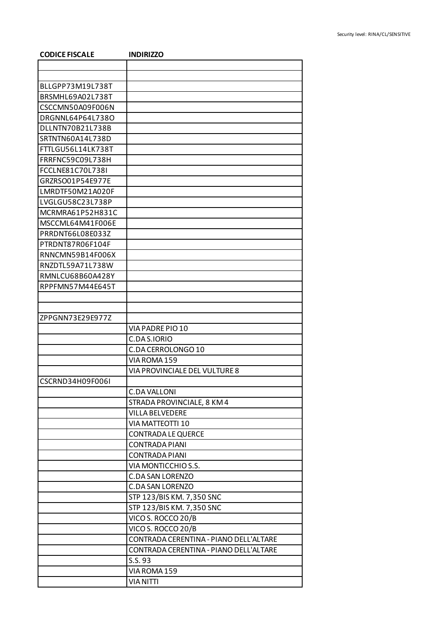| <b>CODICE FISCALE</b> | <b>INDIRIZZO</b>                                |
|-----------------------|-------------------------------------------------|
|                       |                                                 |
|                       |                                                 |
| BLLGPP73M19L738T      |                                                 |
| BRSMHL69A02L738T      |                                                 |
| CSCCMN50A09F006N      |                                                 |
| DRGNNL64P64L738O      |                                                 |
| DLLNTN70B21L738B      |                                                 |
| SRTNTN60A14L738D      |                                                 |
| FTTLGU56L14LK738T     |                                                 |
| FRRFNC59C09L738H      |                                                 |
| FCCLNE81C70L738I      |                                                 |
| GRZRSO01P54E977E      |                                                 |
| LMRDTF50M21A020F      |                                                 |
| LVGLGU58C23L738P      |                                                 |
| MCRMRA61P52H831C      |                                                 |
| MSCCML64M41F006E      |                                                 |
| PRRDNT66L08E033Z      |                                                 |
| PTRDNT87R06F104F      |                                                 |
| RNNCMN59B14F006X      |                                                 |
| RNZDTL59A71L738W      |                                                 |
| RMNLCU68B60A428Y      |                                                 |
| RPPFMN57M44E645T      |                                                 |
|                       |                                                 |
|                       |                                                 |
| ZPPGNN73E29E977Z      |                                                 |
|                       | VIA PADRE PIO 10                                |
|                       | C.DA S.IORIO                                    |
|                       | C.DA CERROLONGO 10                              |
|                       | VIA ROMA 159                                    |
|                       | VIA PROVINCIALE DEL VULTURE 8                   |
| CSCRND34H09F006L      |                                                 |
|                       | <b>C.DA VALLONI</b>                             |
|                       | STRADA PROVINCIALE, 8 KM 4                      |
|                       | <b>VILLA BELVEDERE</b>                          |
|                       | VIA MATTEOTTI 10                                |
|                       | <b>CONTRADA LE QUERCE</b>                       |
|                       | <b>CONTRADA PIANI</b>                           |
|                       | <b>CONTRADA PIANI</b>                           |
|                       | VIA MONTICCHIO S.S.                             |
|                       | <b>C.DA SAN LORENZO</b>                         |
|                       | <b>C.DA SAN LORENZO</b>                         |
|                       | STP 123/BIS KM. 7,350 SNC                       |
|                       |                                                 |
|                       | STP 123/BIS KM. 7,350 SNC<br>VICO S. ROCCO 20/B |
|                       | VICO S. ROCCO 20/B                              |
|                       |                                                 |
|                       | CONTRADA CERENTINA - PIANO DELL'ALTARE          |
|                       | CONTRADA CERENTINA - PIANO DELL'ALTARE          |
|                       | S.S.93                                          |
|                       | VIA ROMA 159                                    |
|                       | <b>VIA NITTI</b>                                |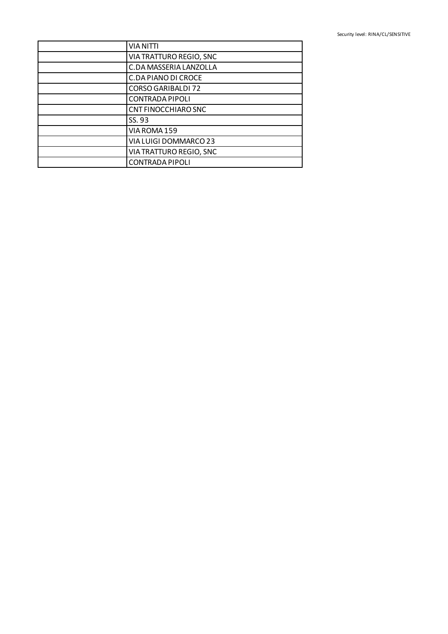| <b>VIA NITTI</b>               |
|--------------------------------|
| <b>VIA TRATTURO REGIO, SNC</b> |
| C.DA MASSERIA LANZOLLA         |
| C.DA PIANO DI CROCE            |
| <b>CORSO GARIBALDI 72</b>      |
| <b>CONTRADA PIPOLI</b>         |
| <b>CNT FINOCCHIARO SNC</b>     |
| SS. 93                         |
| VIA ROMA 159                   |
| VIA LUIGI DOMMARCO 23          |
| VIA TRATTURO REGIO, SNC        |
| <b>CONTRADA PIPOLI</b>         |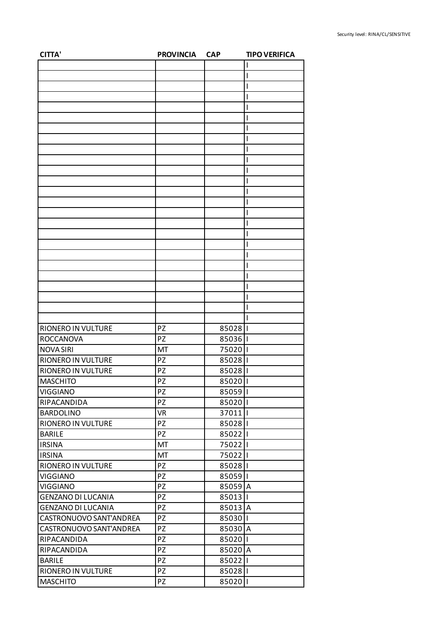| <b>CITTA'</b>             | <b>PROVINCIA</b> | <b>CAP</b> | <b>TIPO VERIFICA</b> |
|---------------------------|------------------|------------|----------------------|
|                           |                  |            |                      |
|                           |                  |            |                      |
|                           |                  |            |                      |
|                           |                  |            |                      |
|                           |                  |            |                      |
|                           |                  |            | I                    |
|                           |                  |            |                      |
|                           |                  |            |                      |
|                           |                  |            |                      |
|                           |                  |            |                      |
|                           |                  |            |                      |
|                           |                  |            |                      |
|                           |                  |            |                      |
|                           |                  |            |                      |
|                           |                  |            |                      |
|                           |                  |            |                      |
|                           |                  |            |                      |
|                           |                  |            |                      |
|                           |                  |            |                      |
|                           |                  |            |                      |
|                           |                  |            |                      |
|                           |                  |            |                      |
|                           |                  |            |                      |
|                           |                  |            |                      |
|                           |                  |            |                      |
|                           |                  |            |                      |
| RIONERO IN VULTURE        | <b>PZ</b>        | 85028      |                      |
| <b>ROCCANOVA</b>          | PZ               | 850361     |                      |
| <b>NOVA SIRI</b>          | MT               | 750201     |                      |
| RIONERO IN VULTURE        | PZ               | 85028      |                      |
| RIONERO IN VULTURE        | PZ               | 85028      |                      |
| <b>MASCHITO</b>           | PZ               | 85020      |                      |
| <b>VIGGIANO</b>           | PZ               | 85059      |                      |
| RIPACANDIDA               | PZ               | 85020      |                      |
| <b>BARDOLINO</b>          | <b>VR</b>        | 37011      |                      |
| RIONERO IN VULTURE        | <b>PZ</b>        | 85028      |                      |
| <b>BARILE</b>             | PZ               | 85022   1  |                      |
| <b>IRSINA</b>             | MT               | 750221     |                      |
| <b>IRSINA</b>             | MT               | 750221     |                      |
| RIONERO IN VULTURE        | PZ               | 85028      |                      |
| <b>VIGGIANO</b>           | PZ               | 85059      |                      |
| <b>VIGGIANO</b>           | <b>PZ</b>        | 85059 A    |                      |
| <b>GENZANO DI LUCANIA</b> | PZ               | 85013      |                      |
| <b>GENZANO DI LUCANIA</b> | PZ               | 85013 A    |                      |
| CASTRONUOVO SANT'ANDREA   | <b>PZ</b>        | 85030      |                      |
|                           |                  |            |                      |
| CASTRONUOVO SANT'ANDREA   | PZ               | 85030 A    |                      |
| RIPACANDIDA               | PZ               | 85020      |                      |
| RIPACANDIDA               | PZ               | 85020 A    |                      |
| <b>BARILE</b>             | PZ               | 85022   1  |                      |
| RIONERO IN VULTURE        | PZ               | 85028   1  |                      |
| <b>MASCHITO</b>           | <b>PZ</b>        | 85020      | П                    |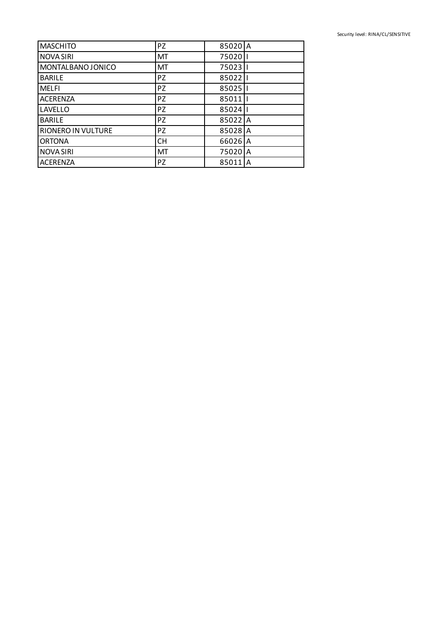| <b>MASCHITO</b>           | <b>PZ</b> | 85020 A |    |
|---------------------------|-----------|---------|----|
| <b>NOVA SIRI</b>          | MT        | 75020   |    |
| MONTALBANO JONICO         | MT        | 75023   |    |
| <b>BARILE</b>             | <b>PZ</b> | 85022   |    |
| <b>MELFI</b>              | <b>PZ</b> | 85025   |    |
| <b>ACERENZA</b>           | <b>PZ</b> | 85011   |    |
| LAVELLO                   | <b>PZ</b> | 85024   |    |
| <b>BARILE</b>             | <b>PZ</b> | 85022 A |    |
| <b>RIONERO IN VULTURE</b> | <b>PZ</b> | 85028 A |    |
| <b>ORTONA</b>             | <b>CH</b> | 66026 A |    |
| <b>NOVA SIRI</b>          | <b>MT</b> | 75020 A |    |
| <b>ACERENZA</b>           | <b>PZ</b> | 85011   | ΙA |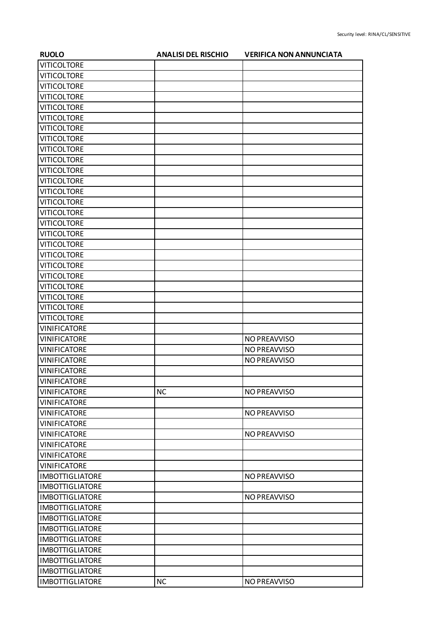| <b>RUOLO</b>           | <b>ANALISI DEL RISCHIO</b> | <b>VERIFICA NON ANNUNCIATA</b> |
|------------------------|----------------------------|--------------------------------|
| <b>VITICOLTORE</b>     |                            |                                |
| <b>VITICOLTORE</b>     |                            |                                |
| <b>VITICOLTORE</b>     |                            |                                |
| <b>VITICOLTORE</b>     |                            |                                |
| <b>VITICOLTORE</b>     |                            |                                |
| <b>VITICOLTORE</b>     |                            |                                |
| <b>VITICOLTORE</b>     |                            |                                |
| <b>VITICOLTORE</b>     |                            |                                |
| <b>VITICOLTORE</b>     |                            |                                |
| <b>VITICOLTORE</b>     |                            |                                |
| <b>VITICOLTORE</b>     |                            |                                |
| <b>VITICOLTORE</b>     |                            |                                |
| <b>VITICOLTORE</b>     |                            |                                |
| <b>VITICOLTORE</b>     |                            |                                |
| <b>VITICOLTORE</b>     |                            |                                |
| <b>VITICOLTORE</b>     |                            |                                |
| <b>VITICOLTORE</b>     |                            |                                |
| <b>VITICOLTORE</b>     |                            |                                |
| <b>VITICOLTORE</b>     |                            |                                |
| <b>VITICOLTORE</b>     |                            |                                |
| <b>VITICOLTORE</b>     |                            |                                |
| <b>VITICOLTORE</b>     |                            |                                |
| <b>VITICOLTORE</b>     |                            |                                |
| <b>VITICOLTORE</b>     |                            |                                |
| <b>VITICOLTORE</b>     |                            |                                |
| <b>VINIFICATORE</b>    |                            |                                |
| <b>VINIFICATORE</b>    |                            | NO PREAVVISO                   |
| <b>VINIFICATORE</b>    |                            | NO PREAVVISO                   |
| <b>VINIFICATORE</b>    |                            | NO PREAVVISO                   |
| <b>VINIFICATORE</b>    |                            |                                |
| <b>VINIFICATORE</b>    |                            |                                |
| <b>VINIFICATORE</b>    | <b>NC</b>                  | NO PREAVVISO                   |
| <b>VINIFICATORE</b>    |                            |                                |
| <b>VINIFICATORE</b>    |                            | NO PREAVVISO                   |
| <b>VINIFICATORE</b>    |                            |                                |
| <b>VINIFICATORE</b>    |                            | NO PREAVVISO                   |
| <b>VINIFICATORE</b>    |                            |                                |
| <b>VINIFICATORE</b>    |                            |                                |
| VINIFICATORE           |                            |                                |
| <b>IMBOTTIGLIATORE</b> |                            | NO PREAVVISO                   |
| <b>IMBOTTIGLIATORE</b> |                            |                                |
| <b>IMBOTTIGLIATORE</b> |                            | NO PREAVVISO                   |
| <b>IMBOTTIGLIATORE</b> |                            |                                |
| <b>IMBOTTIGLIATORE</b> |                            |                                |
| <b>IMBOTTIGLIATORE</b> |                            |                                |
| <b>IMBOTTIGLIATORE</b> |                            |                                |
| <b>IMBOTTIGLIATORE</b> |                            |                                |
| <b>IMBOTTIGLIATORE</b> |                            |                                |
| <b>IMBOTTIGLIATORE</b> |                            |                                |
| <b>IMBOTTIGLIATORE</b> | <b>NC</b>                  | NO PREAVVISO                   |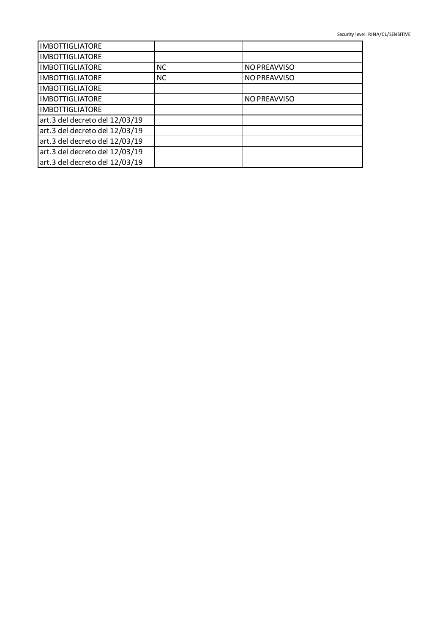| <b>IMBOTTIGLIATORE</b>         |           |                     |
|--------------------------------|-----------|---------------------|
| <b>IMBOTTIGLIATORE</b>         |           |                     |
| <b>IMBOTTIGLIATORE</b>         | <b>NC</b> | NO PREAVVISO        |
| <b>IMBOTTIGLIATORE</b>         | <b>NC</b> | NO PREAVVISO        |
| <b>IMBOTTIGLIATORE</b>         |           |                     |
| <b>IMBOTTIGLIATORE</b>         |           | <b>NO PREAVVISO</b> |
| <b>IMBOTTIGLIATORE</b>         |           |                     |
| art.3 del decreto del 12/03/19 |           |                     |
| art.3 del decreto del 12/03/19 |           |                     |
| art.3 del decreto del 12/03/19 |           |                     |
| art.3 del decreto del 12/03/19 |           |                     |
| art.3 del decreto del 12/03/19 |           |                     |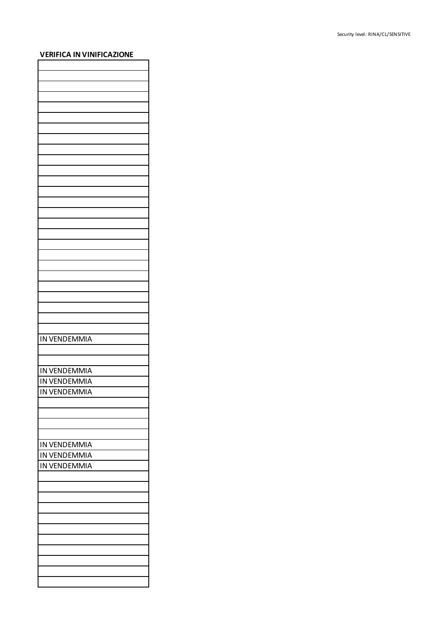## **VERIFICA IN VINIFICAZIONE**

| <b>IN VENDEMMIA</b> |
|---------------------|
|                     |
|                     |
|                     |
| IN VENDEMMIA        |
|                     |
| IN VENDEMMIA        |
| IN VENDEMMIA        |
|                     |
|                     |
|                     |
|                     |
|                     |
|                     |
| IN VENDEMMIA        |
| IN VENDEMMIA        |
| <b>IN VENDEMMIA</b> |
|                     |
|                     |
|                     |
|                     |
|                     |
|                     |
|                     |
|                     |
|                     |
|                     |
|                     |
|                     |
|                     |
|                     |